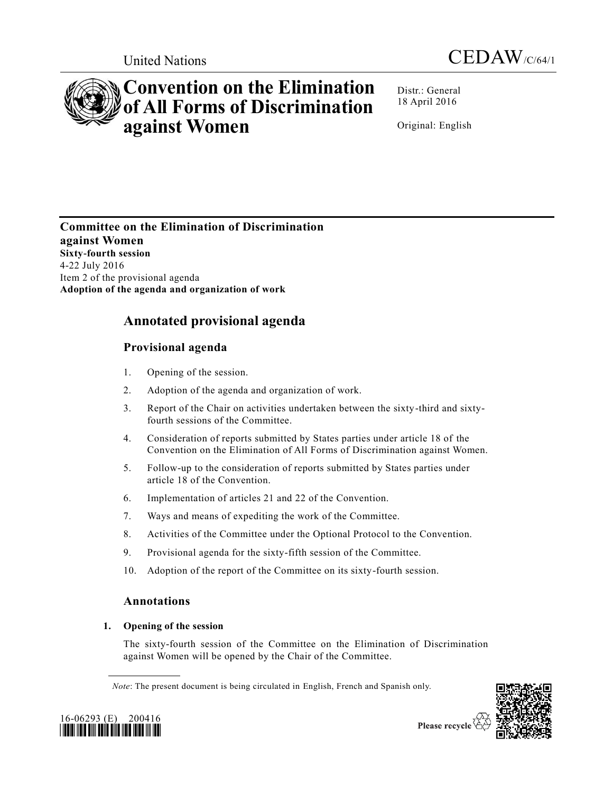



# **Convention on the Elimination of All Forms of Discrimination against Women**

Distr.: General 18 April 2016

Original: English

**Committee on the Elimination of Discrimination against Women Sixty-fourth session** 4-22 July 2016 Item 2 of the provisional agenda **Adoption of the agenda and organization of work**

## **Annotated provisional agenda**

## **Provisional agenda**

- 1. Opening of the session.
- 2. Adoption of the agenda and organization of work.
- 3. Report of the Chair on activities undertaken between the sixty-third and sixtyfourth sessions of the Committee.
- 4. Consideration of reports submitted by States parties under article 18 of the Convention on the Elimination of All Forms of Discrimination against Women.
- 5. Follow-up to the consideration of reports submitted by States parties under article 18 of the Convention.
- 6. Implementation of articles 21 and 22 of the Convention.
- 7. Ways and means of expediting the work of the Committee.
- 8. Activities of the Committee under the Optional Protocol to the Convention.
- 9. Provisional agenda for the sixty-fifth session of the Committee.
- 10. Adoption of the report of the Committee on its sixty-fourth session.

## **Annotations**

## **1. Opening of the session**

The sixty-fourth session of the Committee on the Elimination of Discrimination against Women will be opened by the Chair of the Committee.





*Note*: The present document is being circulated in English, French and Spanish only.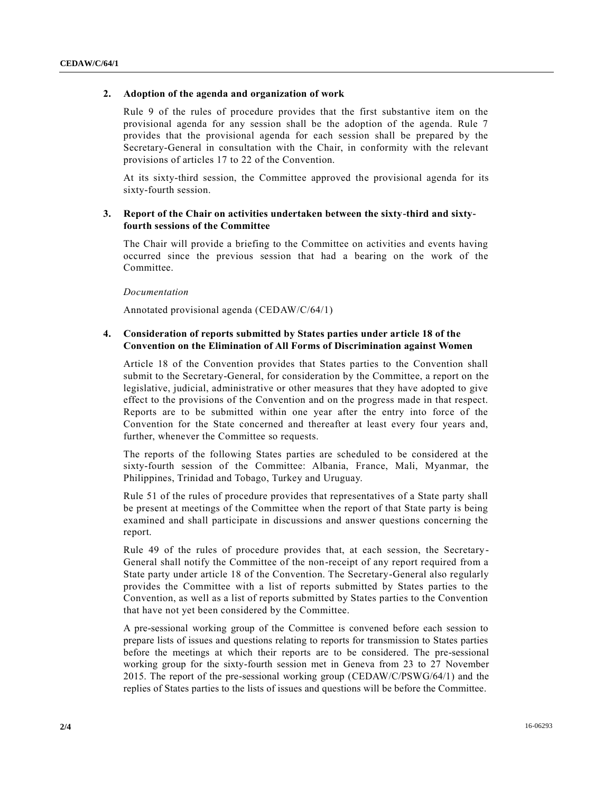### **2. Adoption of the agenda and organization of work**

Rule 9 of the rules of procedure provides that the first substantive item on the provisional agenda for any session shall be the adoption of the agenda. Rule 7 provides that the provisional agenda for each session shall be prepared by the Secretary-General in consultation with the Chair, in conformity with the relevant provisions of articles 17 to 22 of the Convention.

At its sixty-third session, the Committee approved the provisional agenda for its sixty-fourth session.

## **3. Report of the Chair on activities undertaken between the sixty-third and sixtyfourth sessions of the Committee**

The Chair will provide a briefing to the Committee on activities and events having occurred since the previous session that had a bearing on the work of the Committee.

*Documentation*

Annotated provisional agenda [\(CEDAW/C/64/1\)](http://undocs.org/CEDAW/C/64/1)

## **4. Consideration of reports submitted by States parties under article 18 of the Convention on the Elimination of All Forms of Discrimination against Women**

Article 18 of the Convention provides that States parties to the Convention shall submit to the Secretary-General, for consideration by the Committee, a report on the legislative, judicial, administrative or other measures that they have adopted to give effect to the provisions of the Convention and on the progress made in that respect. Reports are to be submitted within one year after the entry into force of the Convention for the State concerned and thereafter at least every four years and, further, whenever the Committee so requests.

The reports of the following States parties are scheduled to be considered at the sixty-fourth session of the Committee: Albania, France, Mali, Myanmar, the Philippines, Trinidad and Tobago, Turkey and Uruguay.

Rule 51 of the rules of procedure provides that representatives of a State party shall be present at meetings of the Committee when the report of that State party is being examined and shall participate in discussions and answer questions concerning the report.

Rule 49 of the rules of procedure provides that, at each session, the Secretary-General shall notify the Committee of the non-receipt of any report required from a State party under article 18 of the Convention. The Secretary-General also regularly provides the Committee with a list of reports submitted by States parties to the Convention, as well as a list of reports submitted by States parties to the Convention that have not yet been considered by the Committee.

A pre-sessional working group of the Committee is convened before each session to prepare lists of issues and questions relating to reports for transmission to States parties before the meetings at which their reports are to be considered. The pre-sessional working group for the sixty-fourth session met in Geneva from 23 to 27 November 2015. The report of the pre-sessional working group [\(CEDAW/C/PSWG/64/1\)](http://undocs.org/CEDAW/C/PSWG/64/1) and the replies of States parties to the lists of issues and questions will be before the Committee.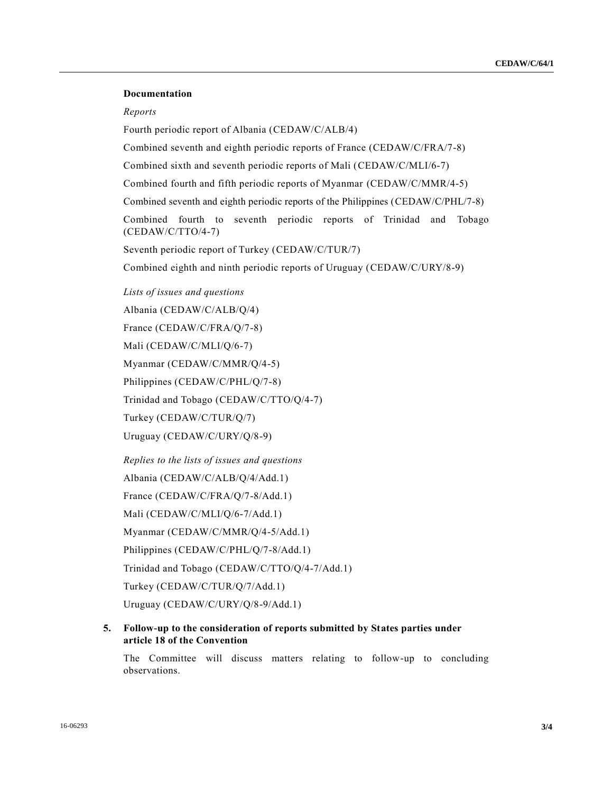#### **Documentation**

#### *Reports*

Fourth periodic report of Albania [\(CEDAW/C/ALB/4\)](http://undocs.org/CEDAW/C/ALB/4)

Combined seventh and eighth periodic reports of France [\(CEDAW/C/FRA/7-8\)](http://undocs.org/CEDAW/C/FRA/7)

Combined sixth and seventh periodic reports of Mali [\(CEDAW/C/MLI/6-7\)](http://undocs.org/CEDAW/C/MLI/6)

Combined fourth and fifth periodic reports of Myanmar [\(CEDAW/C/MMR/4-5\)](http://undocs.org/CEDAW/C/MMR/4)

Combined seventh and eighth periodic reports of the Philippines [\(CEDAW/C/PHL/7-8\)](http://undocs.org/CEDAW/C/PHL/7)

Combined fourth to seventh periodic reports of Trinidad and Tobago [\(CEDAW/C/TTO/4-7\)](http://undocs.org/CEDAW/C/TTO/4)

Seventh periodic report of Turkey [\(CEDAW/C/TUR/7\)](http://undocs.org/CEDAW/C/TUR/7)

Combined eighth and ninth periodic reports of Uruguay [\(CEDAW/C/URY/8-9\)](http://undocs.org/CEDAW/C/URY/8)

*Lists of issues and questions*

Albania [\(CEDAW/C/ALB/Q/4\)](http://undocs.org/CEDAW/C/ALB/Q/4)

France [\(CEDAW/C/FRA/Q/7-8\)](http://undocs.org/CEDAW/C/FRA/Q/7)

Mali [\(CEDAW/C/MLI/Q/6-7\)](http://undocs.org/CEDAW/C/MLI/Q/6)

Myanmar [\(CEDAW/C/MMR/Q/4-5\)](http://undocs.org/CEDAW/C/MMR/Q/4)

Philippines [\(CEDAW/C/PHL/Q/7-8\)](http://undocs.org/CEDAW/C/PHL/Q/7)

Trinidad and Tobago [\(CEDAW/C/TTO/Q/4-7\)](http://undocs.org/CEDAW/C/TTO/Q/4)

Turkey [\(CEDAW/C/TUR/Q/7\)](http://undocs.org/CEDAW/C/TUR/Q/7)

Uruguay [\(CEDAW/C/URY/Q/8-9\)](http://undocs.org/CEDAW/C/URY/Q/8)

*Replies to the lists of issues and questions*

Albania [\(CEDAW/C/ALB/Q/4/Add.1\)](http://undocs.org/CEDAW/C/ALB/Q/4/Add.1)

France [\(CEDAW/C/FRA/Q/7-8/Add.1\)](http://undocs.org/CEDAW/C/FRA/Q/7)

Mali [\(CEDAW/C/MLI/Q/6-7/Add.1\)](http://undocs.org/CEDAW/C/MLI/Q/6)

Myanmar [\(CEDAW/C/MMR/Q/4-5/Add.1\)](http://undocs.org/CEDAW/C/MMR/Q/4)

Philippines [\(CEDAW/C/PHL/Q/7-8/Add.1\)](http://undocs.org/CEDAW/C/PHL/Q/7)

Trinidad and Tobago [\(CEDAW/C/TTO/Q/4-7/Add.1\)](http://undocs.org/CEDAW/C/TTO/Q/4)

Turkey [\(CEDAW/C/TUR/Q/7/Add.1\)](http://undocs.org/CEDAW/C/TUR/Q/7/Add.1)

Uruguay [\(CEDAW/C/URY/Q/8-9/Add.1\)](http://undocs.org/CEDAW/C/URY/Q/8)

#### **5. Follow-up to the consideration of reports submitted by States parties under article 18 of the Convention**

The Committee will discuss matters relating to follow-up to concluding observations.